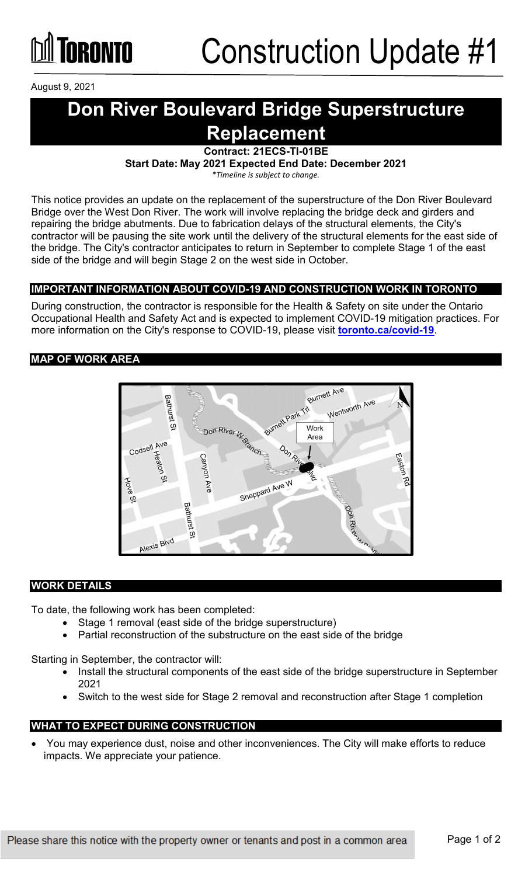

August 9, 2021

## **Don River Boulevard Bridge Superstructure Replacement**

**Contract: 21ECS-TI-01BE**

**Start Date: May 2021 Expected End Date: December 2021**

*\*Timeline is subject to change.*

This notice provides an update on the replacement of the superstructure of the Don River Boulevard Bridge over the West Don River. The work will involve replacing the bridge deck and girders and repairing the bridge abutments. Due to fabrication delays of the structural elements, the City's contractor will be pausing the site work until the delivery of the structural elements for the east side of the bridge. The City's contractor anticipates to return in September to complete Stage 1 of the east side of the bridge and will begin Stage 2 on the west side in October.

### **IMPORTANT INFORMATION ABOUT COVID-19 AND CONSTRUCTION WORK IN TORONTO**

During construction, the contractor is responsible for the Health & Safety on site under the Ontario Occupational Health and Safety Act and is expected to implement COVID-19 mitigation practices. For more information on the City's response to COVID-19, please visit **[toronto.ca/covid-19](http://www.toronto.ca/covid-19)**.

#### **MAP OF WORK AREA**



#### **WORK DETAILS**

To date, the following work has been completed:

- Stage 1 removal (east side of the bridge superstructure)
- Partial reconstruction of the substructure on the east side of the bridge

Starting in September, the contractor will:

- Install the structural components of the east side of the bridge superstructure in September 2021
- Switch to the west side for Stage 2 removal and reconstruction after Stage 1 completion

#### **WHAT TO EXPECT DURING CONSTRUCTION**

• You may experience dust, noise and other inconveniences. The City will make efforts to reduce impacts. We appreciate your patience.